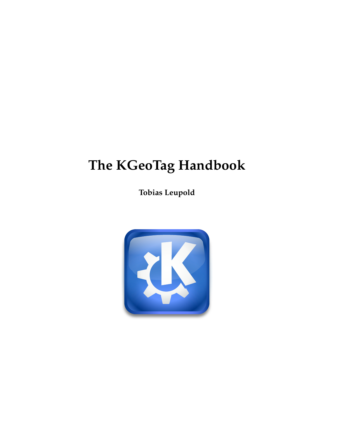**Tobias Leupold**

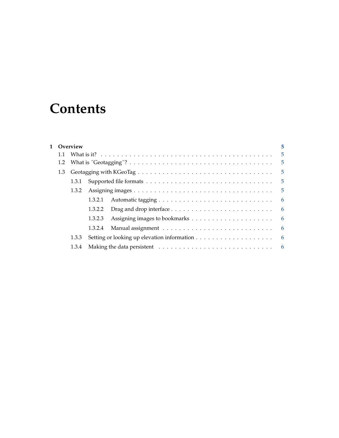## **Contents**

|     | 1 Overview |         |                                                                                       |                 |
|-----|------------|---------|---------------------------------------------------------------------------------------|-----------------|
| 1.1 |            |         |                                                                                       |                 |
| 1.2 |            |         |                                                                                       | $-5$            |
| 1.3 |            | $-5$    |                                                                                       |                 |
|     | 1.3.1      |         |                                                                                       | $-5$            |
|     | 1.3.2      |         |                                                                                       |                 |
|     |            | 1.3.2.1 |                                                                                       | $6\overline{6}$ |
|     |            | 1.3.2.2 | Drag and drop interface $\dots \dots \dots \dots \dots \dots \dots \dots \dots \dots$ |                 |
|     |            | 1.3.2.3 |                                                                                       |                 |
|     |            | 1.3.2.4 |                                                                                       |                 |
|     | 1.3.3      |         |                                                                                       | $6\overline{6}$ |
|     | 1.3.4      |         |                                                                                       |                 |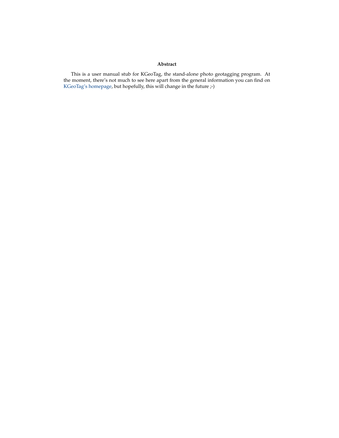#### **Abstract**

This is a user manual stub for KGeoTag, the stand-alone photo geotagging program. At the moment, there's not much to see here apart from the general information you can find on [KGeoTag's homepage,](https://kgeotag.kde.org/) but hopefully, this will change in the future ;-)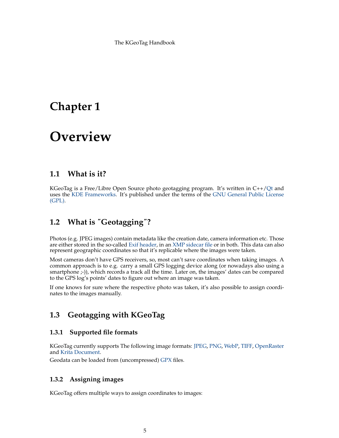## <span id="page-4-0"></span>**Chapter 1**

## **Overview**

### <span id="page-4-1"></span>**1.1 What is it?**

KGeoTag is a Free/Libre Open Source photo geotagging program. It's written in C++[/Qt](https://www.qt.io/) and uses the [KDE Frameworks.](https://api.kde.org/frameworks/) It's published under the terms of the [GNU General Public License](https://www.gnu.org/licenses/#GPL) [\(GPL\).](https://www.gnu.org/licenses/#GPL)

### <span id="page-4-2"></span>**1.2 What is** ˝**Geotagging**˝**?**

Photos (e.g. JPEG images) contain metadata like the creation date, camera information etc. Those are either stored in the so-called [Exif header,](https://en.wikipedia.org/wiki/Exif) in an [XMP sidecar file](https://en.wikipedia.org/wiki/Extensible_Metadata_Platform) or in both. This data can also represent geographic coordinates so that it's replicable where the images were taken.

Most cameras don't have GPS receivers, so, most can't save coordinates when taking images. A common approach is to e.g. carry a small GPS logging device along (or nowadays also using a smartphone  $(-)$ ), which records a track all the time. Later on, the images' dates can be compared to the GPS log's points' dates to figure out where an image was taken.

If one knows for sure where the respective photo was taken, it's also possible to assign coordinates to the images manually.

### <span id="page-4-3"></span>**1.3 Geotagging with KGeoTag**

#### <span id="page-4-4"></span>**1.3.1 Supported file formats**

KGeoTag currently supports The following image formats: [JPEG,](https://en.wikipedia.org/wiki/JPEG) [PNG,](https://en.wikipedia.org/wiki/Portable_Network_Graphics) [WebP,](https://en.wikipedia.org/wiki/WebP) [TIFF,](https://en.wikipedia.org/wiki/TIFF) [OpenRaster](https://en.wikipedia.org/wiki/OpenRaster) and [Krita Document.](https://en.wikipedia.org/wiki/Krita)

Geodata can be loaded from (uncompressed) [GPX](https://en.wikipedia.org/wiki/GPS_Exchange_Format) files.

#### <span id="page-4-5"></span>**1.3.2 Assigning images**

KGeoTag offers multiple ways to assign coordinates to images: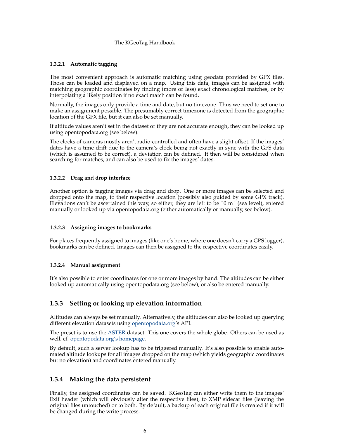#### <span id="page-5-0"></span>**1.3.2.1 Automatic tagging**

The most convenient approach is automatic matching using geodata provided by GPX files. Those can be loaded and displayed on a map. Using this data, images can be assigned with matching geographic coordinates by finding (more or less) exact chronological matches, or by interpolating a likely position if no exact match can be found.

Normally, the images only provide a time and date, but no timezone. Thus we need to set one to make an assignment possible. The presumably correct timezone is detected from the geographic location of the GPX file, but it can also be set manually.

If altitude values aren't set in the dataset or they are not accurate enough, they can be looked up using opentopodata.org (see below).

The clocks of cameras mostly aren't radio-controlled and often have a slight offset. If the images' dates have a time drift due to the camera's clock being not exactly in sync with the GPS data (which is assumed to be correct), a deviation can be defined. It then will be considered when searching for matches, and can also be used to fix the images' dates.

#### <span id="page-5-1"></span>**1.3.2.2 Drag and drop interface**

Another option is tagging images via drag and drop. One or more images can be selected and dropped onto the map, to their respective location (possibly also guided by some GPX track). Elevations can't be ascertained this way, so either, they are left to be ˝0 m˝ (sea level), entered manually or looked up via opentopodata.org (either automatically or manually, see below).

#### <span id="page-5-2"></span>**1.3.2.3 Assigning images to bookmarks**

For places frequently assigned to images (like one's home, where one doesn't carry a GPS logger), bookmarks can be defined. Images can then be assigned to the respective coordinates easily.

#### <span id="page-5-3"></span>**1.3.2.4 Manual assignment**

It's also possible to enter coordinates for one or more images by hand. The altitudes can be either looked up automatically using opentopodata.org (see below), or also be entered manually.

#### <span id="page-5-4"></span>**1.3.3 Setting or looking up elevation information**

Altitudes can always be set manually. Alternatively, the altitudes can also be looked up querying different elevation datasets using [opentopodata.org'](https://www.opentopodata.org/)s API.

The preset is to use the [ASTER](https://asterweb.jpl.nasa.gov/gdem.asp) dataset. This one covers the whole globe. Others can be used as well, cf. [opentopodata.org's homepage.](https://www.opentopodata.org/#public-api)

By default, such a server lookup has to be triggered manually. It's also possible to enable automated altitude lookups for all images dropped on the map (which yields geographic coordinates but no elevation) and coordinates entered manually.

#### <span id="page-5-5"></span>**1.3.4 Making the data persistent**

Finally, the assigned coordinates can be saved. KGeoTag can either write them to the images' Exif header (which will obviously alter the respective files), to XMP sidecar files (leaving the original files untouched) or to both. By default, a backup of each original file is created if it will be changed during the write process.